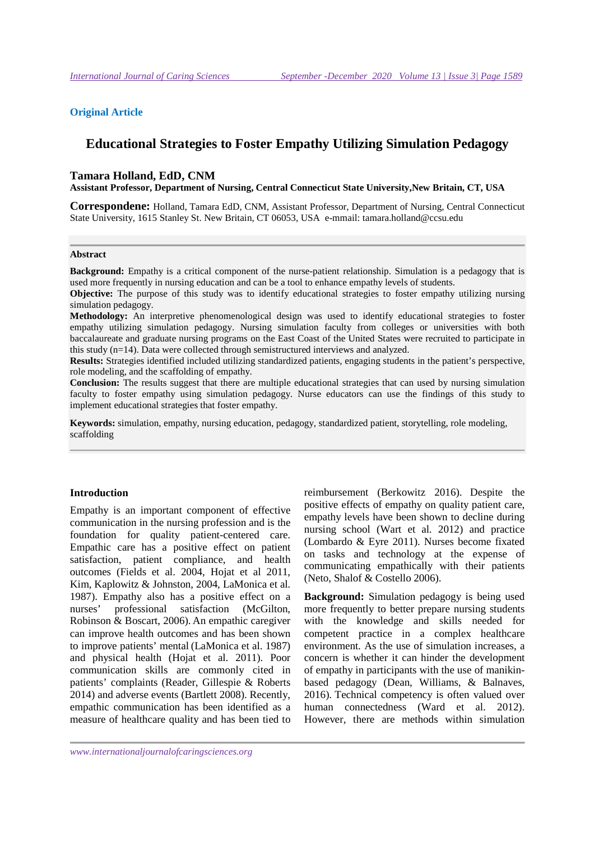#### **Original Article**

# **Educational Strategies to Foster Empathy Utilizing Simulation Pedagogy**

#### **Tamara Holland, EdD, CNM**

**Assistant Professor, Department of Nursing, Central Connecticut State University,New Britain, CT, USA** 

**Correspondene:** Holland, Tamara EdD, CNM, Assistant Professor, Department of Nursing, Central Connecticut State University, 1615 Stanley St. New Britain, CT 06053, USA e-mmail: tamara.holland@ccsu.edu

#### **Abstract**

**Background:** Empathy is a critical component of the nurse-patient relationship. Simulation is a pedagogy that is used more frequently in nursing education and can be a tool to enhance empathy levels of students.

**Objective:** The purpose of this study was to identify educational strategies to foster empathy utilizing nursing simulation pedagogy.

**Methodology:** An interpretive phenomenological design was used to identify educational strategies to foster empathy utilizing simulation pedagogy. Nursing simulation faculty from colleges or universities with both baccalaureate and graduate nursing programs on the East Coast of the United States were recruited to participate in this study (n=14). Data were collected through semistructured interviews and analyzed.

**Results:** Strategies identified included utilizing standardized patients, engaging students in the patient's perspective, role modeling, and the scaffolding of empathy.

**Conclusion:** The results suggest that there are multiple educational strategies that can used by nursing simulation faculty to foster empathy using simulation pedagogy. Nurse educators can use the findings of this study to implement educational strategies that foster empathy.

**Keywords:** simulation, empathy, nursing education, pedagogy, standardized patient, storytelling, role modeling, scaffolding

#### **Introduction**

Empathy is an important component of effective communication in the nursing profession and is the foundation for quality patient-centered care. Empathic care has a positive effect on patient satisfaction, patient compliance, and health outcomes (Fields et al. 2004, Hojat et al 2011, Kim, Kaplowitz & Johnston, 2004, LaMonica et al. 1987). Empathy also has a positive effect on a nurses' professional satisfaction (McGilton, Robinson & Boscart, 2006). An empathic caregiver can improve health outcomes and has been shown to improve patients' mental (LaMonica et al. 1987) and physical health (Hojat et al. 2011). Poor communication skills are commonly cited in patients' complaints (Reader, Gillespie & Roberts 2014) and adverse events (Bartlett 2008). Recently, empathic communication has been identified as a measure of healthcare quality and has been tied to

reimbursement (Berkowitz 2016). Despite the positive effects of empathy on quality patient care, empathy levels have been shown to decline during nursing school (Wart et al. 2012) and practice (Lombardo & Eyre 2011). Nurses become fixated on tasks and technology at the expense of communicating empathically with their patients (Neto, Shalof & Costello 2006).

**Background:** Simulation pedagogy is being used more frequently to better prepare nursing students with the knowledge and skills needed for competent practice in a complex healthcare environment. As the use of simulation increases, a concern is whether it can hinder the development of empathy in participants with the use of manikinbased pedagogy (Dean, Williams, & Balnaves, 2016). Technical competency is often valued over human connectedness (Ward et al. 2012). However, there are methods within simulation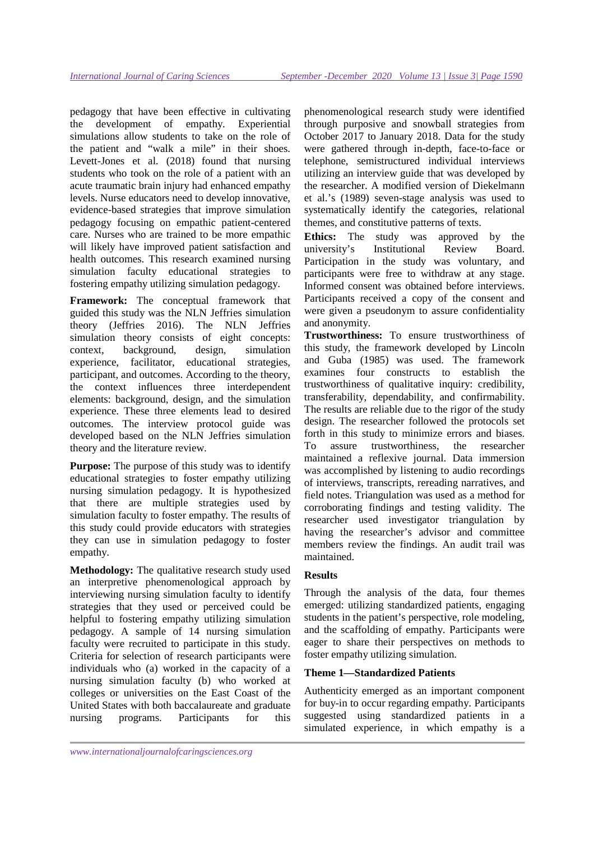pedagogy that have been effective in cultivating the development of empathy. Experiential simulations allow students to take on the role of the patient and "walk a mile" in their shoes. Levett-Jones et al. (2018) found that nursing students who took on the role of a patient with an acute traumatic brain injury had enhanced empathy levels. Nurse educators need to develop innovative, evidence-based strategies that improve simulation pedagogy focusing on empathic patient-centered care. Nurses who are trained to be more empathic will likely have improved patient satisfaction and health outcomes. This research examined nursing simulation faculty educational strategies to fostering empathy utilizing simulation pedagogy.

**Framework:** The conceptual framework that guided this study was the NLN Jeffries simulation theory (Jeffries 2016). The NLN Jeffries simulation theory consists of eight concepts: context, background, design, simulation experience, facilitator, educational strategies, participant, and outcomes. According to the theory, the context influences three interdependent elements: background, design, and the simulation experience. These three elements lead to desired outcomes. The interview protocol guide was developed based on the NLN Jeffries simulation theory and the literature review.

**Purpose:** The purpose of this study was to identify educational strategies to foster empathy utilizing nursing simulation pedagogy. It is hypothesized that there are multiple strategies used by simulation faculty to foster empathy. The results of this study could provide educators with strategies they can use in simulation pedagogy to foster empathy.

**Methodology:** The qualitative research study used an interpretive phenomenological approach by interviewing nursing simulation faculty to identify strategies that they used or perceived could be helpful to fostering empathy utilizing simulation pedagogy. A sample of 14 nursing simulation faculty were recruited to participate in this study. Criteria for selection of research participants were individuals who (a) worked in the capacity of a nursing simulation faculty (b) who worked at colleges or universities on the East Coast of the United States with both baccalaureate and graduate nursing programs. Participants for this

phenomenological research study were identified through purposive and snowball strategies from October 2017 to January 2018. Data for the study were gathered through in-depth, face-to-face or telephone, semistructured individual interviews utilizing an interview guide that was developed by the researcher. A modified version of Diekelmann et al.'s (1989) seven-stage analysis was used to systematically identify the categories, relational themes, and constitutive patterns of texts.

**Ethics:** The study was approved by the university's Institutional Review Board. Participation in the study was voluntary, and participants were free to withdraw at any stage. Informed consent was obtained before interviews. Participants received a copy of the consent and were given a pseudonym to assure confidentiality and anonymity.

**Trustworthiness:** To ensure trustworthiness of this study, the framework developed by Lincoln and Guba (1985) was used. The framework examines four constructs to establish the trustworthiness of qualitative inquiry: credibility, transferability, dependability, and confirmability. The results are reliable due to the rigor of the study design. The researcher followed the protocols set forth in this study to minimize errors and biases. To assure trustworthiness, the researcher maintained a reflexive journal. Data immersion was accomplished by listening to audio recordings of interviews, transcripts, rereading narratives, and field notes. Triangulation was used as a method for corroborating findings and testing validity. The researcher used investigator triangulation by having the researcher's advisor and committee members review the findings. An audit trail was maintained.

### **Results**

Through the analysis of the data, four themes emerged: utilizing standardized patients, engaging students in the patient's perspective, role modeling, and the scaffolding of empathy. Participants were eager to share their perspectives on methods to foster empathy utilizing simulation.

### **Theme 1—Standardized Patients**

Authenticity emerged as an important component for buy-in to occur regarding empathy. Participants suggested using standardized patients in a simulated experience, in which empathy is a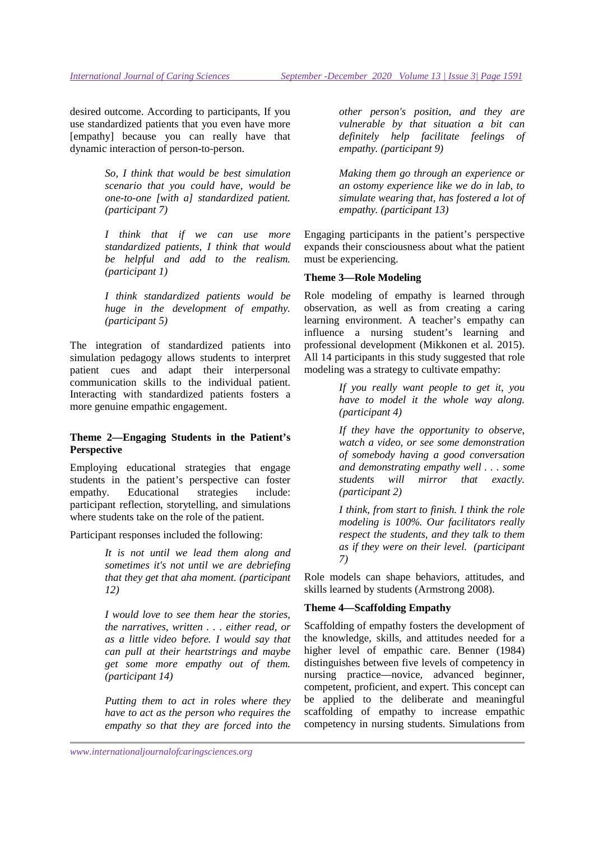desired outcome. According to participants, If you use standardized patients that you even have more [empathy] because you can really have that dynamic interaction of person-to-person.

> *So, I think that would be best simulation scenario that you could have, would be one-to-one [with a] standardized patient. (participant 7)*

> *I think that if we can use more standardized patients, I think that would be helpful and add to the realism. (participant 1)*

> *I think standardized patients would be huge in the development of empathy. (participant 5)*

The integration of standardized patients into simulation pedagogy allows students to interpret patient cues and adapt their interpersonal communication skills to the individual patient. Interacting with standardized patients fosters a more genuine empathic engagement.

## **Theme 2—Engaging Students in the Patient's Perspective**

Employing educational strategies that engage students in the patient's perspective can foster empathy. Educational strategies include: participant reflection, storytelling, and simulations where students take on the role of the patient.

Participant responses included the following:

*It is not until we lead them along and sometimes it's not until we are debriefing that they get that aha moment. (participant 12)* 

*I would love to see them hear the stories, the narratives, written . . . either read, or as a little video before. I would say that can pull at their heartstrings and maybe get some more empathy out of them. (participant 14)* 

*Putting them to act in roles where they have to act as the person who requires the empathy so that they are forced into the*  *other person's position, and they are vulnerable by that situation a bit can definitely help facilitate feelings of empathy. (participant 9)* 

*Making them go through an experience or an ostomy experience like we do in lab, to simulate wearing that, has fostered a lot of empathy. (participant 13)* 

Engaging participants in the patient's perspective expands their consciousness about what the patient must be experiencing.

### **Theme 3—Role Modeling**

Role modeling of empathy is learned through observation, as well as from creating a caring learning environment. A teacher's empathy can influence a nursing student's learning and professional development (Mikkonen et al. 2015). All 14 participants in this study suggested that role modeling was a strategy to cultivate empathy:

> *If you really want people to get it, you have to model it the whole way along. (participant 4)*

> *If they have the opportunity to observe, watch a video, or see some demonstration of somebody having a good conversation and demonstrating empathy well . . . some students will mirror that exactly. (participant 2)*

> *I think, from start to finish. I think the role modeling is 100%. Our facilitators really respect the students, and they talk to them as if they were on their level. (participant 7)*

Role models can shape behaviors, attitudes, and skills learned by students (Armstrong 2008).

### **Theme 4—Scaffolding Empathy**

Scaffolding of empathy fosters the development of the knowledge, skills, and attitudes needed for a higher level of empathic care. Benner (1984) distinguishes between five levels of competency in nursing practice—novice, advanced beginner, competent, proficient, and expert. This concept can be applied to the deliberate and meaningful scaffolding of empathy to increase empathic competency in nursing students. Simulations from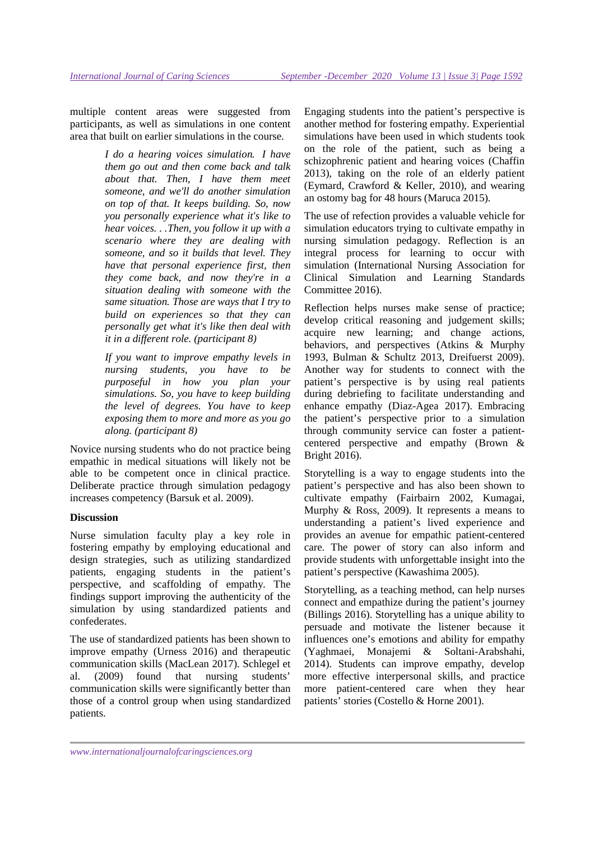multiple content areas were suggested from participants, as well as simulations in one content area that built on earlier simulations in the course.

> *I do a hearing voices simulation. I have them go out and then come back and talk about that. Then, I have them meet someone, and we'll do another simulation on top of that. It keeps building. So, now you personally experience what it's like to hear voices. . .Then, you follow it up with a scenario where they are dealing with someone, and so it builds that level. They have that personal experience first, then they come back, and now they're in a situation dealing with someone with the same situation. Those are ways that I try to build on experiences so that they can personally get what it's like then deal with it in a different role. (participant 8)*

> *If you want to improve empathy levels in nursing students, you have to be purposeful in how you plan your simulations. So, you have to keep building the level of degrees. You have to keep exposing them to more and more as you go along. (participant 8)*

Novice nursing students who do not practice being empathic in medical situations will likely not be able to be competent once in clinical practice. Deliberate practice through simulation pedagogy increases competency (Barsuk et al. 2009).

### **Discussion**

Nurse simulation faculty play a key role in fostering empathy by employing educational and design strategies, such as utilizing standardized patients, engaging students in the patient's perspective, and scaffolding of empathy. The findings support improving the authenticity of the simulation by using standardized patients and confederates.

The use of standardized patients has been shown to improve empathy (Urness 2016) and therapeutic communication skills (MacLean 2017). Schlegel et al. (2009) found that nursing students' communication skills were significantly better than those of a control group when using standardized patients.

Engaging students into the patient's perspective is another method for fostering empathy. Experiential simulations have been used in which students took on the role of the patient, such as being a schizophrenic patient and hearing voices (Chaffin 2013), taking on the role of an elderly patient (Eymard, Crawford & Keller, 2010), and wearing an ostomy bag for 48 hours (Maruca 2015).

The use of refection provides a valuable vehicle for simulation educators trying to cultivate empathy in nursing simulation pedagogy. Reflection is an integral process for learning to occur with simulation (International Nursing Association for Clinical Simulation and Learning Standards Committee 2016).

Reflection helps nurses make sense of practice; develop critical reasoning and judgement skills; acquire new learning; and change actions, behaviors, and perspectives (Atkins & Murphy 1993, Bulman & Schultz 2013, Dreifuerst 2009). Another way for students to connect with the patient's perspective is by using real patients during debriefing to facilitate understanding and enhance empathy (Diaz-Agea 2017). Embracing the patient's perspective prior to a simulation through community service can foster a patientcentered perspective and empathy (Brown & Bright 2016).

Storytelling is a way to engage students into the patient's perspective and has also been shown to cultivate empathy (Fairbairn 2002, Kumagai, Murphy & Ross, 2009). It represents a means to understanding a patient's lived experience and provides an avenue for empathic patient-centered care. The power of story can also inform and provide students with unforgettable insight into the patient's perspective (Kawashima 2005).

Storytelling, as a teaching method, can help nurses connect and empathize during the patient's journey (Billings 2016). Storytelling has a unique ability to persuade and motivate the listener because it influences one's emotions and ability for empathy (Yaghmaei, Monajemi & Soltani-Arabshahi, 2014). Students can improve empathy, develop more effective interpersonal skills, and practice more patient-centered care when they hear patients' stories (Costello & Horne 2001).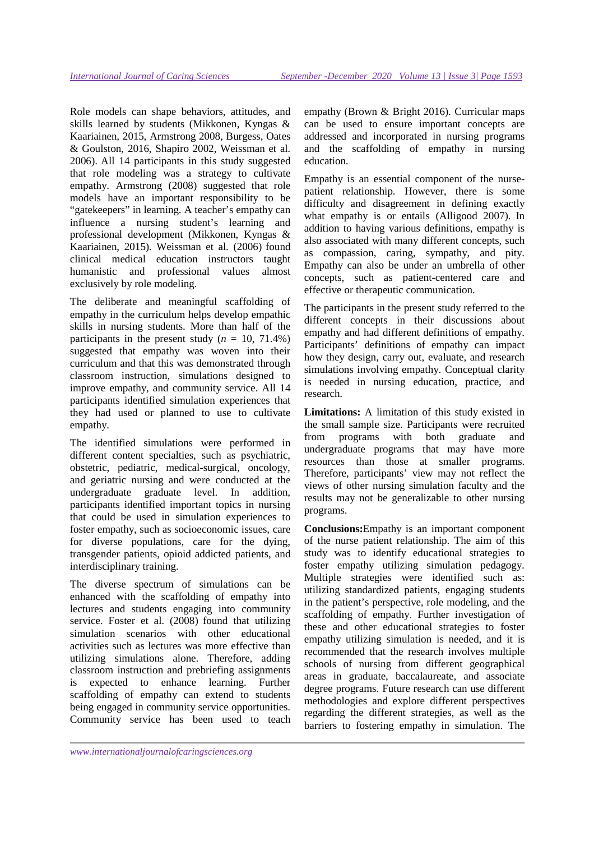Role models can shape behaviors, attitudes, and skills learned by students (Mikkonen, Kyngas & Kaariainen, 2015, Armstrong 2008, Burgess, Oates & Goulston, 2016, Shapiro 2002, Weissman et al. 2006). All 14 participants in this study suggested that role modeling was a strategy to cultivate empathy. Armstrong (2008) suggested that role models have an important responsibility to be "gatekeepers" in learning. A teacher's empathy can influence a nursing student's learning and professional development (Mikkonen, Kyngas & Kaariainen, 2015). Weissman et al. (2006) found clinical medical education instructors taught humanistic and professional values almost exclusively by role modeling.

The deliberate and meaningful scaffolding of empathy in the curriculum helps develop empathic skills in nursing students. More than half of the participants in the present study  $(n = 10, 71.4\%)$ suggested that empathy was woven into their curriculum and that this was demonstrated through classroom instruction, simulations designed to improve empathy, and community service. All 14 participants identified simulation experiences that they had used or planned to use to cultivate empathy.

The identified simulations were performed in different content specialties, such as psychiatric, obstetric, pediatric, medical-surgical, oncology, and geriatric nursing and were conducted at the undergraduate graduate level. In addition, participants identified important topics in nursing that could be used in simulation experiences to foster empathy, such as socioeconomic issues, care for diverse populations, care for the dying, transgender patients, opioid addicted patients, and interdisciplinary training.

The diverse spectrum of simulations can be enhanced with the scaffolding of empathy into lectures and students engaging into community service. Foster et al. (2008) found that utilizing simulation scenarios with other educational activities such as lectures was more effective than utilizing simulations alone. Therefore, adding classroom instruction and prebriefing assignments is expected to enhance learning. Further scaffolding of empathy can extend to students being engaged in community service opportunities. Community service has been used to teach empathy (Brown & Bright 2016). Curricular maps can be used to ensure important concepts are addressed and incorporated in nursing programs and the scaffolding of empathy in nursing education.

Empathy is an essential component of the nursepatient relationship. However, there is some difficulty and disagreement in defining exactly what empathy is or entails (Alligood 2007). In addition to having various definitions, empathy is also associated with many different concepts, such as compassion, caring, sympathy, and pity. Empathy can also be under an umbrella of other concepts, such as patient-centered care and effective or therapeutic communication.

The participants in the present study referred to the different concepts in their discussions about empathy and had different definitions of empathy. Participants' definitions of empathy can impact how they design, carry out, evaluate, and research simulations involving empathy. Conceptual clarity is needed in nursing education, practice, and research.

**Limitations:** A limitation of this study existed in the small sample size. Participants were recruited from programs with both graduate and undergraduate programs that may have more resources than those at smaller programs. Therefore, participants' view may not reflect the views of other nursing simulation faculty and the results may not be generalizable to other nursing programs.

**Conclusions:**Empathy is an important component of the nurse patient relationship. The aim of this study was to identify educational strategies to foster empathy utilizing simulation pedagogy. Multiple strategies were identified such as: utilizing standardized patients, engaging students in the patient's perspective, role modeling, and the scaffolding of empathy. Further investigation of these and other educational strategies to foster empathy utilizing simulation is needed, and it is recommended that the research involves multiple schools of nursing from different geographical areas in graduate, baccalaureate, and associate degree programs. Future research can use different methodologies and explore different perspectives regarding the different strategies, as well as the barriers to fostering empathy in simulation. The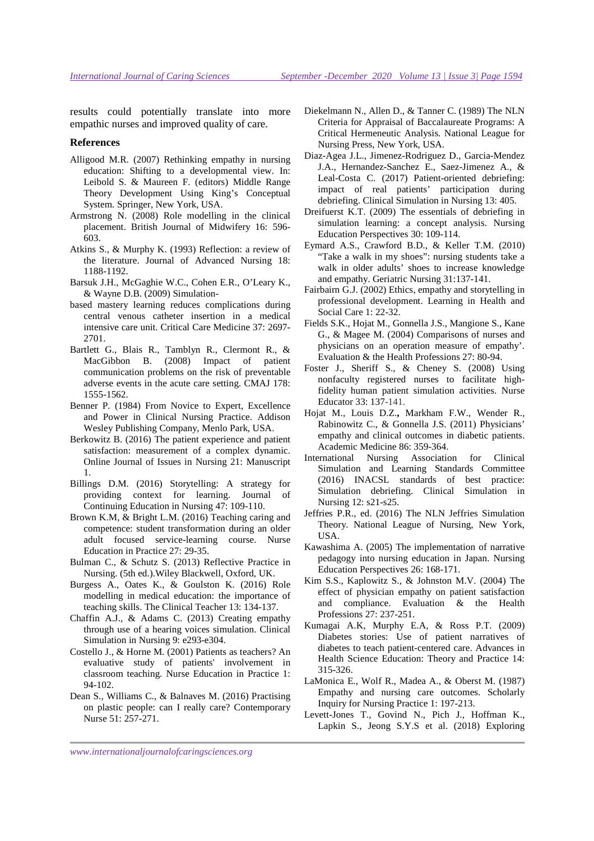results could potentially translate into more empathic nurses and improved quality of care.

#### **References**

- Alligood M.R. (2007) Rethinking empathy in nursing education: Shifting to a developmental view. In: Leibold S. & Maureen F. (editors) Middle Range Theory Development Using King's Conceptual System*.* Springer, New York, USA.
- Armstrong N. (2008) Role modelling in the clinical placement. British Journal of Midwifery 16: 596- 603.
- Atkins S., & Murphy K. (1993) Reflection: a review of the literature. Journal of Advanced Nursing 18: 1188-1192.
- Barsuk J.H., McGaghie W.C., Cohen E.R., O'Leary K., & Wayne D.B. (2009) Simulation-
- based mastery learning reduces complications during central venous catheter insertion in a medical intensive care unit. Critical Care Medicine 37: 2697- 2701.
- Bartlett G., Blais R., Tamblyn R., Clermont R., & MacGibbon B. (2008) Impact of patient communication problems on the risk of preventable adverse events in the acute care setting. CMAJ 178: 1555-1562.
- Benner P*.* (1984) From Novice to Expert, Excellence and Power in Clinical Nursing Practice. Addison Wesley Publishing Company, Menlo Park, USA.
- Berkowitz B. (2016) The patient experience and patient satisfaction: measurement of a complex dynamic. Online Journal of Issues in Nursing 21: Manuscript 1.
- Billings D.M. (2016) Storytelling: A strategy for providing context for learning. Journal of Continuing Education in Nursing 47: 109-110.
- Brown K.M, & Bright L.M. (2016) Teaching caring and competence: student transformation during an older adult focused service-learning course. Nurse Education in Practice 27: 29-35.
- Bulman C., & Schutz S. (2013) Reflective Practice in Nursing. (5th ed.).Wiley Blackwell, Oxford, UK.
- Burgess A., Oates K., & Goulston K. (2016) Role modelling in medical education: the importance of teaching skills. The Clinical Teacher 13: 134-137.
- Chaffin A.J., & Adams C. (2013) Creating empathy through use of a hearing voices simulation. Clinical Simulation in Nursing 9: e293-e304.
- Costello J., & Horne M. (2001) Patients as teachers? An evaluative study of patients' involvement in classroom teaching. Nurse Education in Practice 1: 94-102.
- Dean S., Williams C., & Balnaves M. (2016) Practising on plastic people: can I really care? Contemporary Nurse 51: 257-271.
- Diekelmann N., Allen D., & Tanner C. (1989) The NLN Criteria for Appraisal of Baccalaureate Programs: A Critical Hermeneutic Analysis*.* National League for Nursing Press, New York, USA.
- Diaz-Agea J.L., Jimenez-Rodriguez D., Garcia-Mendez J.A., Hernandez-Sanchez E., Saez-Jimenez A., & Leal-Costa C. (2017) Patient-oriented debriefing: impact of real patients' participation during debriefing. Clinical Simulation in Nursing 13: 405.
- Dreifuerst K.T. (2009) The essentials of debriefing in simulation learning: a concept analysis. Nursing Education Perspectives 30: 109-114.
- Eymard A.S., Crawford B.D., & Keller T.M. (2010) "Take a walk in my shoes": nursing students take a walk in older adults' shoes to increase knowledge and empathy. Geriatric Nursing 31:137-141.
- Fairbairn G.J. (2002) Ethics, empathy and storytelling in professional development. Learning in Health and Social Care 1: 22-32.
- Fields S.K., Hojat M., Gonnella J.S., Mangione S., Kane G., & Magee M. (2004) Comparisons of nurses and physicians on an operation measure of empathy'. Evaluation & the Health Professions 27: 80-94.
- Foster J., Sheriff S., & Cheney S. (2008) Using nonfaculty registered nurses to facilitate highfidelity human patient simulation activities. Nurse Educator 33: 137-141.
- Hojat M., Louis D.Z.**,** Markham F.W., Wender R., Rabinowitz C., & Gonnella J.S. (2011) Physicians' empathy and clinical outcomes in diabetic patients. Academic Medicine 86: 359-364.
- International Nursing Association for Clinical Simulation and Learning Standards Committee (2016) INACSL standards of best practice: Simulation debriefing. Clinical Simulation in Nursing 12: s21-s25.
- Jeffries P.R., ed. (2016) The NLN Jeffries Simulation Theory. National League of Nursing, New York, USA.
- Kawashima A. (2005) The implementation of narrative pedagogy into nursing education in Japan. Nursing Education Perspectives 26: 168-171.
- Kim S.S., Kaplowitz S., & Johnston M.V. (2004) The effect of physician empathy on patient satisfaction and compliance. Evaluation & the Health Professions 27: 237-251.
- Kumagai A.K, Murphy E.A, & Ross P.T. (2009) Diabetes stories: Use of patient narratives of diabetes to teach patient-centered care. Advances in Health Science Education: Theory and Practice 14: 315-326.
- LaMonica E., Wolf R., Madea A., & Oberst M. (1987) Empathy and nursing care outcomes. Scholarly Inquiry for Nursing Practice 1: 197-213.
- Levett-Jones T., Govind N., Pich J., Hoffman K., Lapkin S., Jeong S.Y.S et al. (2018) Exploring

*www.internationaljournalofcaringsciences.org*